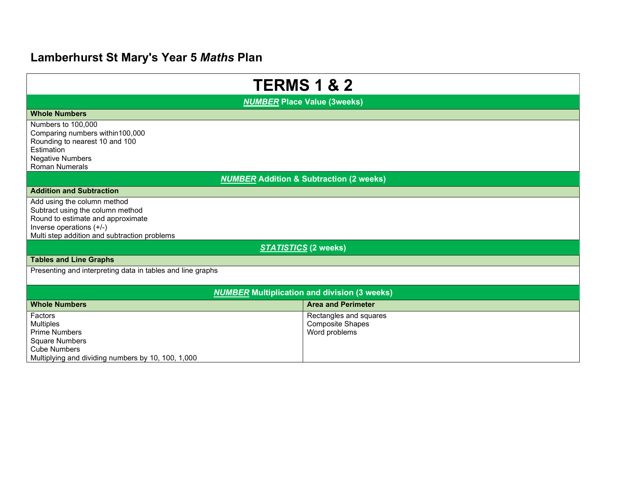# Lamberhurst St Mary's Year 5 Maths Plan

| <b>TERMS 1 &amp; 2</b>                                                                                                                                                           |                                                                    |  |
|----------------------------------------------------------------------------------------------------------------------------------------------------------------------------------|--------------------------------------------------------------------|--|
| <b>NUMBER Place Value (3weeks)</b>                                                                                                                                               |                                                                    |  |
| <b>Whole Numbers</b>                                                                                                                                                             |                                                                    |  |
| Numbers to 100,000<br>Comparing numbers within 100,000<br>Rounding to nearest 10 and 100<br>Estimation<br><b>Negative Numbers</b><br><b>Roman Numerals</b>                       |                                                                    |  |
| <b>NUMBER</b> Addition & Subtraction (2 weeks)                                                                                                                                   |                                                                    |  |
| <b>Addition and Subtraction</b>                                                                                                                                                  |                                                                    |  |
| Add using the column method<br>Subtract using the column method<br>Round to estimate and approximate<br>Inverse operations (+/-)<br>Multi step addition and subtraction problems |                                                                    |  |
| <b>STATISTICS (2 weeks)</b>                                                                                                                                                      |                                                                    |  |
| <b>Tables and Line Graphs</b>                                                                                                                                                    |                                                                    |  |
| Presenting and interpreting data in tables and line graphs                                                                                                                       |                                                                    |  |
| <b>NUMBER</b> Multiplication and division (3 weeks)                                                                                                                              |                                                                    |  |
| <b>Whole Numbers</b>                                                                                                                                                             | <b>Area and Perimeter</b>                                          |  |
| Factors<br><b>Multiples</b><br><b>Prime Numbers</b><br><b>Square Numbers</b><br><b>Cube Numbers</b><br>Multiplying and dividing numbers by 10, 100, 1,000                        | Rectangles and squares<br><b>Composite Shapes</b><br>Word problems |  |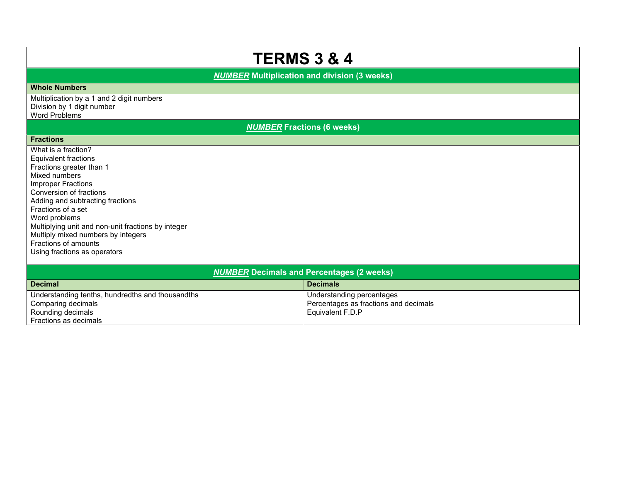# TERMS 3 & 4

**NUMBER** Multiplication and division (3 weeks)

### Whole Numbers

Multiplication by a 1 and 2 digit numbers Division by 1 digit number Word Problems

## NUMBER Fractions (6 weeks)

### **Fractions**

What is a fraction? Equivalent fractions Fractions greater than 1 Mixed numbers Improper Fractions Conversion of fractions Adding and subtracting fractions Fractions of a set Word problems Multiplying unit and non-unit fractions by integer Multiply mixed numbers by integers Fractions of amounts Using fractions as operators

| <b>NUMBER Decimals and Percentages (2 weeks)</b> |                                       |  |
|--------------------------------------------------|---------------------------------------|--|
| <b>Decimal</b>                                   | <b>Decimals</b>                       |  |
| Understanding tenths, hundredths and thousandths | Understanding percentages             |  |
| Comparing decimals                               | Percentages as fractions and decimals |  |
| Rounding decimals                                | Equivalent F.D.P                      |  |
| Fractions as decimals                            |                                       |  |